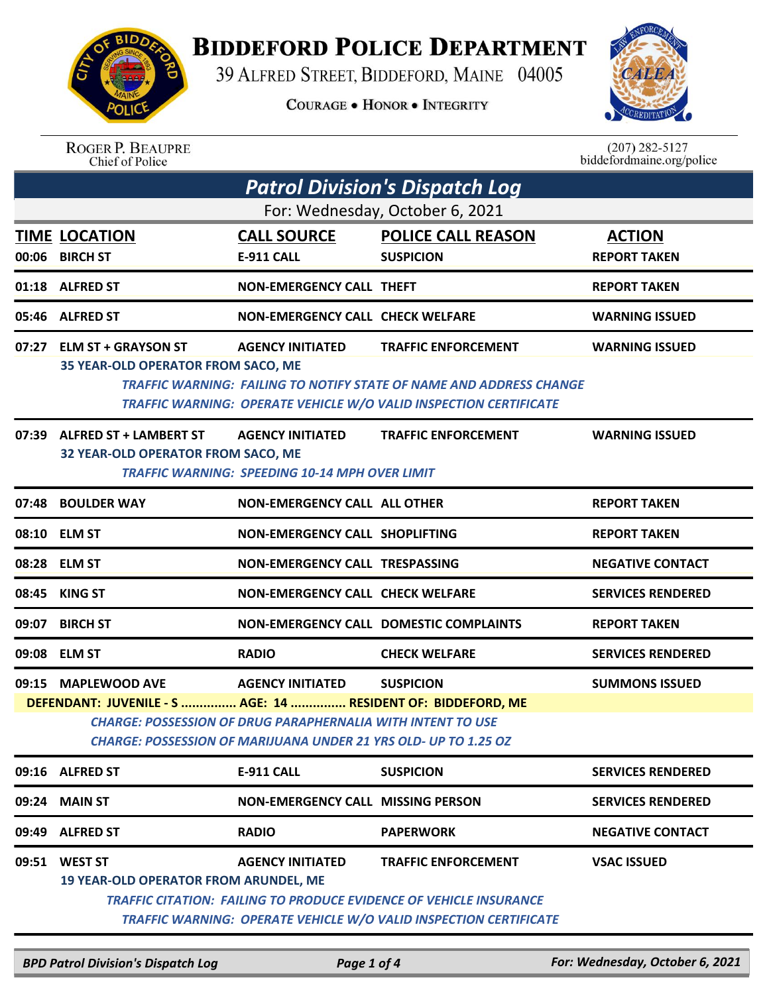## **BIDDEFORD POLICE DEPARTMENT**

39 ALFRED STREET, BIDDEFORD, MAINE 04005

**COURAGE . HONOR . INTEGRITY** 



ROGER P. BEAUPRE<br>Chief of Police

 $(207)$  282-5127<br>biddefordmaine.org/police

|       | <b>Patrol Division's Dispatch Log</b>                                                                                                                                                                                                                                                                |                                                                                  |                                                                                                                                                                                     |                                      |  |  |
|-------|------------------------------------------------------------------------------------------------------------------------------------------------------------------------------------------------------------------------------------------------------------------------------------------------------|----------------------------------------------------------------------------------|-------------------------------------------------------------------------------------------------------------------------------------------------------------------------------------|--------------------------------------|--|--|
|       | For: Wednesday, October 6, 2021                                                                                                                                                                                                                                                                      |                                                                                  |                                                                                                                                                                                     |                                      |  |  |
|       | <b>TIME LOCATION</b><br>00:06 BIRCH ST                                                                                                                                                                                                                                                               | <b>CALL SOURCE</b><br><b>E-911 CALL</b>                                          | <b>POLICE CALL REASON</b><br><b>SUSPICION</b>                                                                                                                                       | <b>ACTION</b><br><b>REPORT TAKEN</b> |  |  |
|       | 01:18 ALFRED ST                                                                                                                                                                                                                                                                                      | <b>NON-EMERGENCY CALL THEFT</b>                                                  |                                                                                                                                                                                     | <b>REPORT TAKEN</b>                  |  |  |
|       | 05:46 ALFRED ST                                                                                                                                                                                                                                                                                      | <b>NON-EMERGENCY CALL CHECK WELFARE</b>                                          |                                                                                                                                                                                     | <b>WARNING ISSUED</b>                |  |  |
|       | 07:27 ELM ST + GRAYSON ST<br><b>35 YEAR-OLD OPERATOR FROM SACO, ME</b>                                                                                                                                                                                                                               | <b>AGENCY INITIATED</b>                                                          | <b>TRAFFIC ENFORCEMENT</b><br>TRAFFIC WARNING: FAILING TO NOTIFY STATE OF NAME AND ADDRESS CHANGE<br><b>TRAFFIC WARNING: OPERATE VEHICLE W/O VALID INSPECTION CERTIFICATE</b>       | <b>WARNING ISSUED</b>                |  |  |
|       | 07:39 ALFRED ST + LAMBERT ST<br>32 YEAR-OLD OPERATOR FROM SACO, ME                                                                                                                                                                                                                                   | <b>AGENCY INITIATED</b><br><b>TRAFFIC WARNING: SPEEDING 10-14 MPH OVER LIMIT</b> | <b>TRAFFIC ENFORCEMENT</b>                                                                                                                                                          | <b>WARNING ISSUED</b>                |  |  |
|       | 07:48 BOULDER WAY                                                                                                                                                                                                                                                                                    | <b>NON-EMERGENCY CALL ALL OTHER</b>                                              |                                                                                                                                                                                     | <b>REPORT TAKEN</b>                  |  |  |
|       | 08:10 ELM ST                                                                                                                                                                                                                                                                                         | <b>NON-EMERGENCY CALL SHOPLIFTING</b>                                            |                                                                                                                                                                                     | <b>REPORT TAKEN</b>                  |  |  |
|       | 08:28 ELM ST                                                                                                                                                                                                                                                                                         | <b>NON-EMERGENCY CALL TRESPASSING</b>                                            |                                                                                                                                                                                     | <b>NEGATIVE CONTACT</b>              |  |  |
| 08:45 | KING ST                                                                                                                                                                                                                                                                                              | <b>NON-EMERGENCY CALL CHECK WELFARE</b>                                          |                                                                                                                                                                                     | <b>SERVICES RENDERED</b>             |  |  |
| 09:07 | <b>BIRCH ST</b>                                                                                                                                                                                                                                                                                      |                                                                                  | <b>NON-EMERGENCY CALL DOMESTIC COMPLAINTS</b>                                                                                                                                       | <b>REPORT TAKEN</b>                  |  |  |
|       | 09:08 ELM ST                                                                                                                                                                                                                                                                                         | <b>RADIO</b>                                                                     | <b>CHECK WELFARE</b>                                                                                                                                                                | <b>SERVICES RENDERED</b>             |  |  |
|       | 09:15 MAPLEWOOD AVE<br><b>AGENCY INITIATED</b><br><b>SUSPICION</b><br><b>SUMMONS ISSUED</b><br>DEFENDANT: JUVENILE - S  AGE: 14  RESIDENT OF: BIDDEFORD, ME<br><b>CHARGE: POSSESSION OF DRUG PARAPHERNALIA WITH INTENT TO USE</b><br>CHARGE: POSSESSION OF MARIJUANA UNDER 21 YRS OLD- UP TO 1.25 OZ |                                                                                  |                                                                                                                                                                                     |                                      |  |  |
|       | 09:16 ALFRED ST                                                                                                                                                                                                                                                                                      | E-911 CALL                                                                       | <b>SUSPICION</b>                                                                                                                                                                    | <b>SERVICES RENDERED</b>             |  |  |
| 09:24 | <b>MAIN ST</b>                                                                                                                                                                                                                                                                                       | <b>NON-EMERGENCY CALL MISSING PERSON</b>                                         |                                                                                                                                                                                     | <b>SERVICES RENDERED</b>             |  |  |
| 09:49 | <b>ALFRED ST</b>                                                                                                                                                                                                                                                                                     | <b>RADIO</b>                                                                     | <b>PAPERWORK</b>                                                                                                                                                                    | <b>NEGATIVE CONTACT</b>              |  |  |
| 09:51 | <b>WEST ST</b><br><b>19 YEAR-OLD OPERATOR FROM ARUNDEL, ME</b>                                                                                                                                                                                                                                       | <b>AGENCY INITIATED</b>                                                          | <b>TRAFFIC ENFORCEMENT</b><br><b>TRAFFIC CITATION: FAILING TO PRODUCE EVIDENCE OF VEHICLE INSURANCE</b><br><b>TRAFFIC WARNING: OPERATE VEHICLE W/O VALID INSPECTION CERTIFICATE</b> | <b>VSAC ISSUED</b>                   |  |  |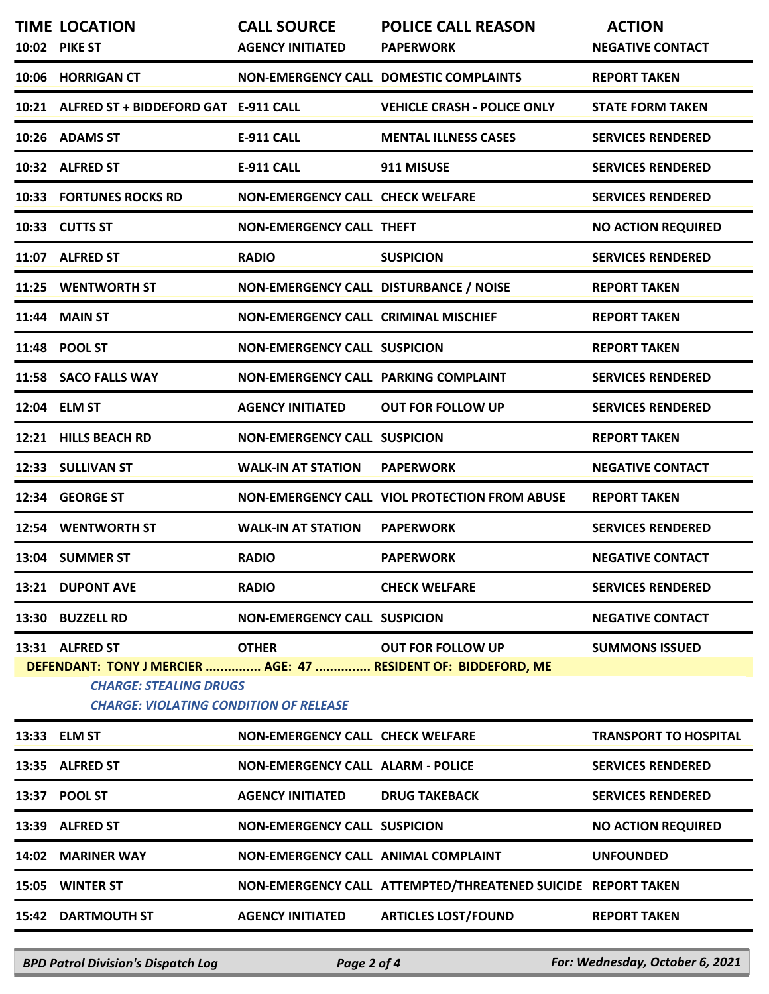|                                                                                                                                                                                                                                          | <b>TIME LOCATION</b><br>10:02 PIKE ST      | <b>CALL SOURCE</b><br><b>AGENCY INITIATED</b> | <b>POLICE CALL REASON</b><br><b>PAPERWORK</b>                | <b>ACTION</b><br><b>NEGATIVE CONTACT</b> |  |
|------------------------------------------------------------------------------------------------------------------------------------------------------------------------------------------------------------------------------------------|--------------------------------------------|-----------------------------------------------|--------------------------------------------------------------|------------------------------------------|--|
|                                                                                                                                                                                                                                          | 10:06 HORRIGAN CT                          |                                               | NON-EMERGENCY CALL DOMESTIC COMPLAINTS                       | <b>REPORT TAKEN</b>                      |  |
|                                                                                                                                                                                                                                          | 10:21 ALFRED ST + BIDDEFORD GAT E-911 CALL |                                               | <b>VEHICLE CRASH - POLICE ONLY</b>                           | <b>STATE FORM TAKEN</b>                  |  |
|                                                                                                                                                                                                                                          | 10:26 ADAMS ST                             | <b>E-911 CALL</b>                             | <b>MENTAL ILLNESS CASES</b>                                  | <b>SERVICES RENDERED</b>                 |  |
|                                                                                                                                                                                                                                          | 10:32 ALFRED ST                            | <b>E-911 CALL</b>                             | 911 MISUSE                                                   | <b>SERVICES RENDERED</b>                 |  |
|                                                                                                                                                                                                                                          | <b>10:33 FORTUNES ROCKS RD</b>             | <b>NON-EMERGENCY CALL CHECK WELFARE</b>       |                                                              | <b>SERVICES RENDERED</b>                 |  |
|                                                                                                                                                                                                                                          | 10:33 CUTTS ST                             | <b>NON-EMERGENCY CALL THEFT</b>               |                                                              | <b>NO ACTION REQUIRED</b>                |  |
|                                                                                                                                                                                                                                          | 11:07 ALFRED ST                            | <b>RADIO</b>                                  | <b>SUSPICION</b>                                             | <b>SERVICES RENDERED</b>                 |  |
|                                                                                                                                                                                                                                          | 11:25 WENTWORTH ST                         | NON-EMERGENCY CALL DISTURBANCE / NOISE        |                                                              | <b>REPORT TAKEN</b>                      |  |
|                                                                                                                                                                                                                                          | 11:44 MAIN ST                              | NON-EMERGENCY CALL CRIMINAL MISCHIEF          |                                                              | <b>REPORT TAKEN</b>                      |  |
|                                                                                                                                                                                                                                          | 11:48 POOL ST                              | <b>NON-EMERGENCY CALL SUSPICION</b>           |                                                              | <b>REPORT TAKEN</b>                      |  |
|                                                                                                                                                                                                                                          | 11:58 SACO FALLS WAY                       | <b>NON-EMERGENCY CALL PARKING COMPLAINT</b>   |                                                              | <b>SERVICES RENDERED</b>                 |  |
|                                                                                                                                                                                                                                          | 12:04 ELM ST                               | <b>AGENCY INITIATED</b>                       | <b>OUT FOR FOLLOW UP</b>                                     | <b>SERVICES RENDERED</b>                 |  |
|                                                                                                                                                                                                                                          | 12:21 HILLS BEACH RD                       | <b>NON-EMERGENCY CALL SUSPICION</b>           |                                                              | <b>REPORT TAKEN</b>                      |  |
|                                                                                                                                                                                                                                          | 12:33 SULLIVAN ST                          | <b>WALK-IN AT STATION</b>                     | <b>PAPERWORK</b>                                             | <b>NEGATIVE CONTACT</b>                  |  |
|                                                                                                                                                                                                                                          | 12:34 GEORGE ST                            |                                               | NON-EMERGENCY CALL VIOL PROTECTION FROM ABUSE                | <b>REPORT TAKEN</b>                      |  |
|                                                                                                                                                                                                                                          | 12:54 WENTWORTH ST                         | <b>WALK-IN AT STATION</b>                     | <b>PAPERWORK</b>                                             | <b>SERVICES RENDERED</b>                 |  |
|                                                                                                                                                                                                                                          | 13:04 SUMMER ST                            | <b>RADIO</b>                                  | <b>PAPERWORK</b>                                             | <b>NEGATIVE CONTACT</b>                  |  |
|                                                                                                                                                                                                                                          | 13:21 DUPONT AVE                           | <b>RADIO</b>                                  | <b>CHECK WELFARE</b>                                         | <b>SERVICES RENDERED</b>                 |  |
|                                                                                                                                                                                                                                          | 13:30 BUZZELL RD                           | <b>NON-EMERGENCY CALL SUSPICION</b>           |                                                              | <b>NEGATIVE CONTACT</b>                  |  |
| 13:31 ALFRED ST<br><b>OTHER</b><br><b>OUT FOR FOLLOW UP</b><br><b>SUMMONS ISSUED</b><br>DEFENDANT: TONY J MERCIER  AGE: 47  RESIDENT OF: BIDDEFORD, ME<br><b>CHARGE: STEALING DRUGS</b><br><b>CHARGE: VIOLATING CONDITION OF RELEASE</b> |                                            |                                               |                                                              |                                          |  |
|                                                                                                                                                                                                                                          | 13:33 ELM ST                               | <b>NON-EMERGENCY CALL CHECK WELFARE</b>       |                                                              | <b>TRANSPORT TO HOSPITAL</b>             |  |
|                                                                                                                                                                                                                                          | 13:35 ALFRED ST                            | <b>NON-EMERGENCY CALL ALARM - POLICE</b>      |                                                              | <b>SERVICES RENDERED</b>                 |  |
|                                                                                                                                                                                                                                          | 13:37 POOL ST                              | <b>AGENCY INITIATED</b>                       | <b>DRUG TAKEBACK</b>                                         | <b>SERVICES RENDERED</b>                 |  |
|                                                                                                                                                                                                                                          | 13:39 ALFRED ST                            | <b>NON-EMERGENCY CALL SUSPICION</b>           |                                                              | <b>NO ACTION REQUIRED</b>                |  |
|                                                                                                                                                                                                                                          | 14:02 MARINER WAY                          | NON-EMERGENCY CALL ANIMAL COMPLAINT           |                                                              | <b>UNFOUNDED</b>                         |  |
|                                                                                                                                                                                                                                          | 15:05 WINTER ST                            |                                               | NON-EMERGENCY CALL ATTEMPTED/THREATENED SUICIDE REPORT TAKEN |                                          |  |
|                                                                                                                                                                                                                                          | <b>15:42 DARTMOUTH ST</b>                  | <b>AGENCY INITIATED</b>                       | <b>ARTICLES LOST/FOUND</b>                                   | <b>REPORT TAKEN</b>                      |  |
|                                                                                                                                                                                                                                          |                                            |                                               |                                                              |                                          |  |

*BPD Patrol Division's Dispatch Log Page 2 of 4 For: Wednesday, October 6, 2021*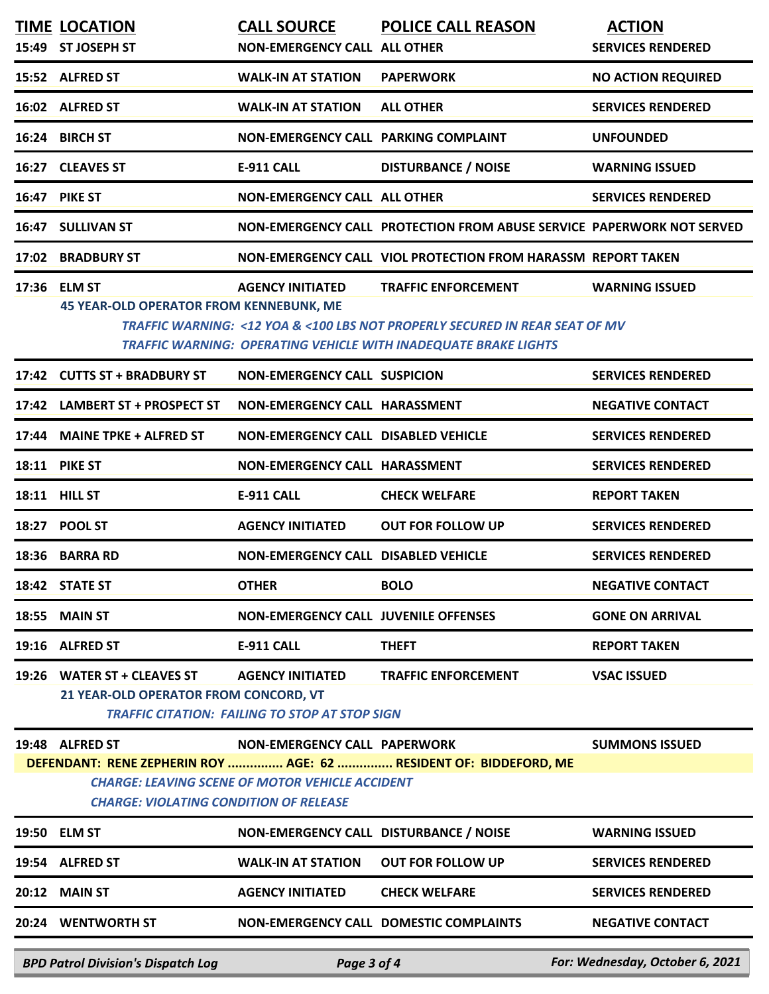|                                                                                                                                                                              | <b>TIME LOCATION</b><br>15:49 ST JOSEPH ST                            | <b>CALL SOURCE</b><br><b>NON-EMERGENCY CALL ALL OTHER</b>                        | <b>POLICE CALL REASON</b>                                                                                                                                                    | <b>ACTION</b><br><b>SERVICES RENDERED</b> |  |
|------------------------------------------------------------------------------------------------------------------------------------------------------------------------------|-----------------------------------------------------------------------|----------------------------------------------------------------------------------|------------------------------------------------------------------------------------------------------------------------------------------------------------------------------|-------------------------------------------|--|
|                                                                                                                                                                              | 15:52 ALFRED ST                                                       | <b>WALK-IN AT STATION</b>                                                        | <b>PAPERWORK</b>                                                                                                                                                             | <b>NO ACTION REQUIRED</b>                 |  |
|                                                                                                                                                                              | 16:02 ALFRED ST                                                       | <b>WALK-IN AT STATION</b>                                                        | <b>ALL OTHER</b>                                                                                                                                                             | <b>SERVICES RENDERED</b>                  |  |
|                                                                                                                                                                              | 16:24 BIRCH ST                                                        | NON-EMERGENCY CALL PARKING COMPLAINT                                             |                                                                                                                                                                              | <b>UNFOUNDED</b>                          |  |
|                                                                                                                                                                              | 16:27 CLEAVES ST                                                      | <b>E-911 CALL</b>                                                                | <b>DISTURBANCE / NOISE</b>                                                                                                                                                   | <b>WARNING ISSUED</b>                     |  |
|                                                                                                                                                                              | 16:47 PIKE ST                                                         | NON-EMERGENCY CALL ALL OTHER                                                     |                                                                                                                                                                              | <b>SERVICES RENDERED</b>                  |  |
| 16:47                                                                                                                                                                        | <b>SULLIVAN ST</b>                                                    |                                                                                  | NON-EMERGENCY CALL PROTECTION FROM ABUSE SERVICE PAPERWORK NOT SERVED                                                                                                        |                                           |  |
|                                                                                                                                                                              | 17:02 BRADBURY ST                                                     |                                                                                  | NON-EMERGENCY CALL VIOL PROTECTION FROM HARASSM REPORT TAKEN                                                                                                                 |                                           |  |
|                                                                                                                                                                              | 17:36 ELM ST<br>45 YEAR-OLD OPERATOR FROM KENNEBUNK, ME               | <b>AGENCY INITIATED</b>                                                          | <b>TRAFFIC ENFORCEMENT</b><br>TRAFFIC WARNING: <12 YOA & <100 LBS NOT PROPERLY SECURED IN REAR SEAT OF MV<br>TRAFFIC WARNING: OPERATING VEHICLE WITH INADEQUATE BRAKE LIGHTS | <b>WARNING ISSUED</b>                     |  |
|                                                                                                                                                                              | 17:42 CUTTS ST + BRADBURY ST                                          | <b>NON-EMERGENCY CALL SUSPICION</b>                                              |                                                                                                                                                                              | <b>SERVICES RENDERED</b>                  |  |
|                                                                                                                                                                              | 17:42 LAMBERT ST + PROSPECT ST                                        | NON-EMERGENCY CALL HARASSMENT                                                    |                                                                                                                                                                              | <b>NEGATIVE CONTACT</b>                   |  |
| 17:44                                                                                                                                                                        | <b>MAINE TPKE + ALFRED ST</b>                                         | NON-EMERGENCY CALL DISABLED VEHICLE                                              |                                                                                                                                                                              | <b>SERVICES RENDERED</b>                  |  |
|                                                                                                                                                                              | <b>18:11 PIKE ST</b>                                                  | NON-EMERGENCY CALL HARASSMENT                                                    |                                                                                                                                                                              | <b>SERVICES RENDERED</b>                  |  |
|                                                                                                                                                                              | 18:11 HILL ST                                                         | <b>E-911 CALL</b>                                                                | <b>CHECK WELFARE</b>                                                                                                                                                         | <b>REPORT TAKEN</b>                       |  |
| 18:27                                                                                                                                                                        | <b>POOL ST</b>                                                        | <b>AGENCY INITIATED</b>                                                          | <b>OUT FOR FOLLOW UP</b>                                                                                                                                                     | <b>SERVICES RENDERED</b>                  |  |
| 18:36                                                                                                                                                                        | <b>BARRA RD</b>                                                       | NON-EMERGENCY CALL DISABLED VEHICLE                                              |                                                                                                                                                                              | <b>SERVICES RENDERED</b>                  |  |
|                                                                                                                                                                              | 18:42 STATE ST                                                        | <b>OTHER</b>                                                                     | <b>BOLO</b>                                                                                                                                                                  | <b>NEGATIVE CONTACT</b>                   |  |
| 18:55                                                                                                                                                                        | <b>MAIN ST</b>                                                        | NON-EMERGENCY CALL JUVENILE OFFENSES                                             |                                                                                                                                                                              | <b>GONE ON ARRIVAL</b>                    |  |
| 19:16                                                                                                                                                                        | <b>ALFRED ST</b>                                                      | <b>E-911 CALL</b>                                                                | <b>THEFT</b>                                                                                                                                                                 | <b>REPORT TAKEN</b>                       |  |
| 19:26                                                                                                                                                                        | <b>WATER ST + CLEAVES ST</b><br>21 YEAR-OLD OPERATOR FROM CONCORD, VT | <b>AGENCY INITIATED</b><br><b>TRAFFIC CITATION: FAILING TO STOP AT STOP SIGN</b> | <b>TRAFFIC ENFORCEMENT</b>                                                                                                                                                   | <b>VSAC ISSUED</b>                        |  |
|                                                                                                                                                                              | 19:48 ALFRED ST                                                       | <b>NON-EMERGENCY CALL PAPERWORK</b>                                              |                                                                                                                                                                              | <b>SUMMONS ISSUED</b>                     |  |
| DEFENDANT: RENE ZEPHERIN ROY  AGE: 62  RESIDENT OF: BIDDEFORD, ME<br><b>CHARGE: LEAVING SCENE OF MOTOR VEHICLE ACCIDENT</b><br><b>CHARGE: VIOLATING CONDITION OF RELEASE</b> |                                                                       |                                                                                  |                                                                                                                                                                              |                                           |  |
|                                                                                                                                                                              | 19:50 ELM ST                                                          | NON-EMERGENCY CALL DISTURBANCE / NOISE                                           |                                                                                                                                                                              | <b>WARNING ISSUED</b>                     |  |
|                                                                                                                                                                              | 19:54 ALFRED ST                                                       | <b>WALK-IN AT STATION</b>                                                        | <b>OUT FOR FOLLOW UP</b>                                                                                                                                                     | <b>SERVICES RENDERED</b>                  |  |
| 20:12                                                                                                                                                                        | <b>MAIN ST</b>                                                        | <b>AGENCY INITIATED</b>                                                          | <b>CHECK WELFARE</b>                                                                                                                                                         | <b>SERVICES RENDERED</b>                  |  |
|                                                                                                                                                                              | 20:24 WENTWORTH ST                                                    |                                                                                  | <b>NON-EMERGENCY CALL DOMESTIC COMPLAINTS</b>                                                                                                                                | <b>NEGATIVE CONTACT</b>                   |  |
|                                                                                                                                                                              | <b>BPD Patrol Division's Dispatch Log</b>                             | Page 3 of 4                                                                      |                                                                                                                                                                              | For: Wednesday, October 6, 2021           |  |